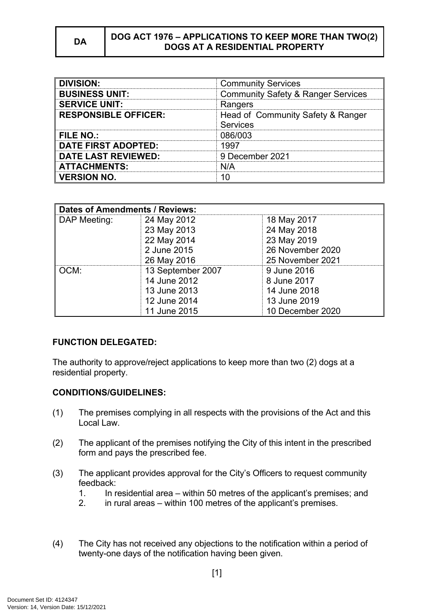### **DA DOG ACT 1976 – APPLICATIONS TO KEEP MORE THAN TWO(2) DOGS AT A RESIDENTIAL PROPERTY**

| <b>DIVISION:</b>            | <b>Community Services</b>                            |  |
|-----------------------------|------------------------------------------------------|--|
| <b>BUSINESS UNIT:</b>       | <b>Community Safety &amp; Ranger Services</b>        |  |
| <b>SERVICE UNIT:</b>        | Rangers                                              |  |
| <b>RESPONSIBLE OFFICER:</b> | Head of Community Safety & Ranger<br><b>Services</b> |  |
| FILE NO.:                   | 086/003                                              |  |
| <b>DATE FIRST ADOPTED:</b>  | 1997                                                 |  |
| <b>DATE LAST REVIEWED:</b>  | 9 December 2021                                      |  |
| <b>ATTACHMENTS:</b>         | N/A                                                  |  |
| <b>VERSION NO.</b>          |                                                      |  |

| <b>Dates of Amendments / Reviews:</b> |                   |                  |
|---------------------------------------|-------------------|------------------|
| DAP Meeting:                          | 24 May 2012       | 18 May 2017      |
|                                       | 23 May 2013       | 24 May 2018      |
|                                       | 22 May 2014       | 23 May 2019      |
|                                       | 2 June 2015       | 26 November 2020 |
|                                       | 26 May 2016       | 25 November 2021 |
| OCM:                                  | 13 September 2007 | 9 June 2016      |
|                                       | 14 June 2012      | 8 June 2017      |
|                                       | 13 June 2013      | 14 June 2018     |
|                                       | 12 June 2014      | 13 June 2019     |
|                                       | 11 June 2015      | 10 December 2020 |

## **FUNCTION DELEGATED:**

The authority to approve/reject applications to keep more than two (2) dogs at a residential property.

## **CONDITIONS/GUIDELINES:**

- (1) The premises complying in all respects with the provisions of the Act and this Local Law.
- (2) The applicant of the premises notifying the City of this intent in the prescribed form and pays the prescribed fee.
- (3) The applicant provides approval for the City's Officers to request community feedback:
	- 1. In residential area within 50 metres of the applicant's premises; and
	- 2. in rural areas within 100 metres of the applicant's premises.
- (4) The City has not received any objections to the notification within a period of twenty-one days of the notification having been given.